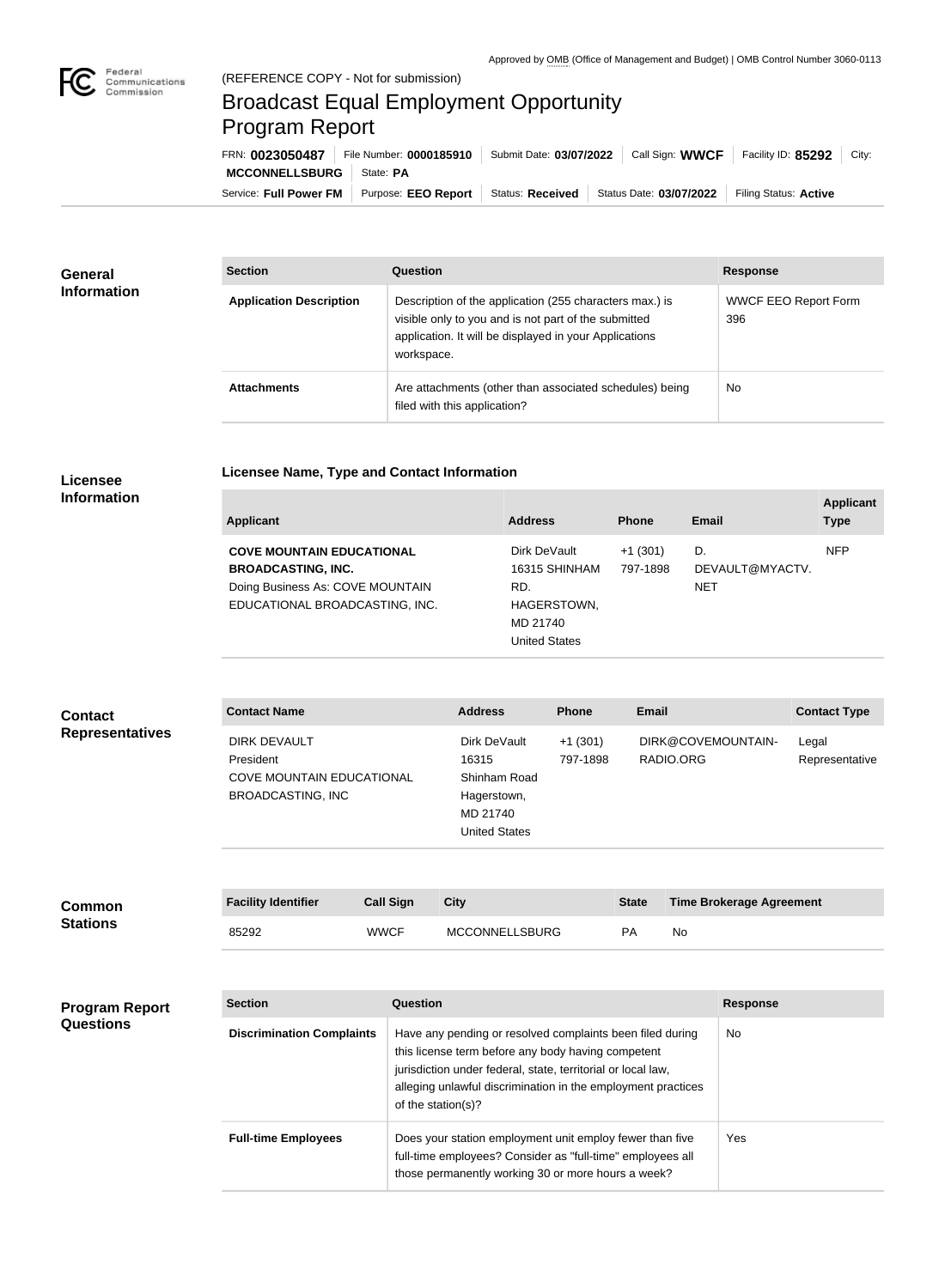

## Broadcast Equal Employment Opportunity Program Report

**Licensee Name, Type and Contact Information**

| FRN: 0023050487            | File Number: 0000185910   Submit Date: 03/07/2022                                         | Call Sign: WWCF | Facility ID: $85292$  | City: |
|----------------------------|-------------------------------------------------------------------------------------------|-----------------|-----------------------|-------|
| MCCONNELLSBURG   State: PA |                                                                                           |                 |                       |       |
|                            | Service: Full Power FM   Purpose: EEO Report   Status: Received   Status Date: 03/07/2022 |                 | Filing Status: Active |       |

| <b>General</b><br><b>Information</b> | <b>Section</b>                 | Question                                                                                                                                                                                | <b>Response</b>                    |
|--------------------------------------|--------------------------------|-----------------------------------------------------------------------------------------------------------------------------------------------------------------------------------------|------------------------------------|
|                                      | <b>Application Description</b> | Description of the application (255 characters max.) is<br>visible only to you and is not part of the submitted<br>application. It will be displayed in your Applications<br>workspace. | <b>WWCF EEO Report Form</b><br>396 |
|                                      | <b>Attachments</b>             | Are attachments (other than associated schedules) being<br>filed with this application?                                                                                                 | <b>No</b>                          |

## **Licensee Information**

| <b>Applicant</b>                                                   | <b>Address</b>                                         | <b>Phone</b>          | <b>Email</b>          | <b>Applicant</b><br><b>Type</b> |
|--------------------------------------------------------------------|--------------------------------------------------------|-----------------------|-----------------------|---------------------------------|
| <b>COVE MOUNTAIN EDUCATIONAL</b><br><b>BROADCASTING, INC.</b>      | Dirk DeVault<br>16315 SHINHAM                          | $+1(301)$<br>797-1898 | D.<br>DEVAULT@MYACTV. | <b>NFP</b>                      |
| Doing Business As: COVE MOUNTAIN<br>EDUCATIONAL BROADCASTING, INC. | RD.<br>HAGERSTOWN,<br>MD 21740<br><b>United States</b> |                       | <b>NET</b>            |                                 |

| <b>Contact</b>         | <b>Contact Name</b>                                                                              | <b>Address</b>                                                                           | <b>Phone</b>          | <b>Email</b>                    | <b>Contact Type</b>     |
|------------------------|--------------------------------------------------------------------------------------------------|------------------------------------------------------------------------------------------|-----------------------|---------------------------------|-------------------------|
| <b>Representatives</b> | <b>DIRK DEVAULT</b><br>President<br><b>COVE MOUNTAIN EDUCATIONAL</b><br><b>BROADCASTING, INC</b> | Dirk DeVault<br>16315<br>Shinham Road<br>Hagerstown,<br>MD 21740<br><b>United States</b> | $+1(301)$<br>797-1898 | DIRK@COVEMOUNTAIN-<br>RADIO.ORG | Legal<br>Representative |

| <b>Common</b><br><b>Stations</b> | <b>Facility Identifier</b> | <b>Call Sign</b> | <b>City</b>           | <b>State</b> | <b>Time Brokerage Agreement</b> |
|----------------------------------|----------------------------|------------------|-----------------------|--------------|---------------------------------|
|                                  | 85292                      | <b>WWCF</b>      | <b>MCCONNELLSBURG</b> | PA           | No                              |

| <b>Program Report</b><br><b>Questions</b> | <b>Section</b>                   | Question                                                                                                                                                                                                                                                              | <b>Response</b> |
|-------------------------------------------|----------------------------------|-----------------------------------------------------------------------------------------------------------------------------------------------------------------------------------------------------------------------------------------------------------------------|-----------------|
|                                           | <b>Discrimination Complaints</b> | Have any pending or resolved complaints been filed during<br>this license term before any body having competent<br>jurisdiction under federal, state, territorial or local law,<br>alleging unlawful discrimination in the employment practices<br>of the station(s)? | No.             |
|                                           | <b>Full-time Employees</b>       | Does your station employment unit employ fewer than five<br>full-time employees? Consider as "full-time" employees all<br>those permanently working 30 or more hours a week?                                                                                          | Yes             |